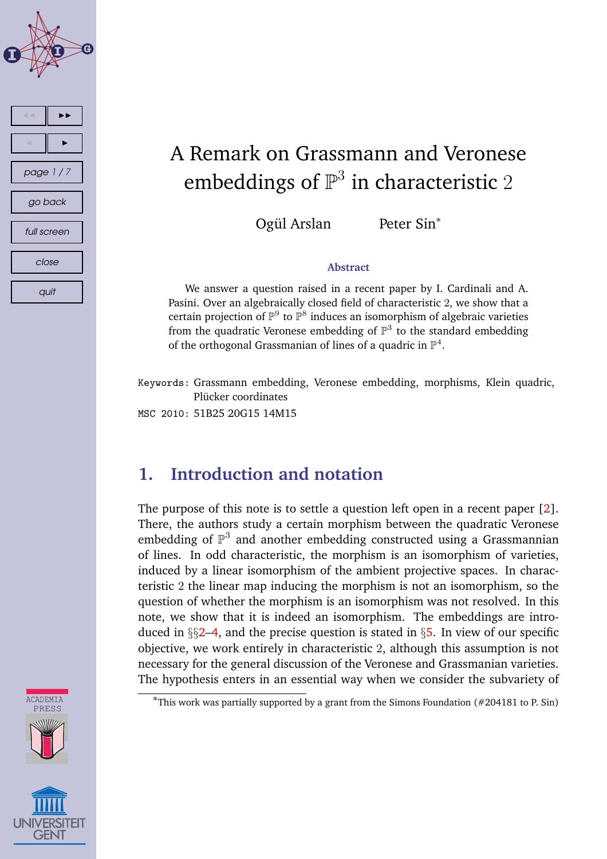

# A Remark on Grassmann and Veronese embeddings of  $\mathbb{P}^3$  in characteristic  $2$

Ogül Arslan

Peter Sin<sup>\*</sup>

#### **Abstract**

We answer a question raised in a recent paper by I. Cardinali and A. Pasini. Over an algebraically closed field of characteristic 2, we show that a certain projection of  $\mathbb{P}^9$  to  $\mathbb{P}^8$  induces an isomorphism of algebraic varieties from the quadratic Veronese embedding of  $\mathbb{P}^3$  to the standard embedding of the orthogonal Grassmanian of lines of a quadric in  $\mathbb{P}^4$ .

Keywords: Grassmann embedding, Veronese embedding, morphisms, Klein quadric, Plücker coordinates

MSC 2010: 51B25 20G15 14M15

### **1. Introduction and notation**

The purpose of this note is to settle a question left open in a recent paper [\[2\]](#page-6-0). There, the authors study a certain morphism between the quadratic Veronese embedding of  $\mathbb{P}^3$  and another embedding constructed using a Grassmannian of lines. In odd characteristic, the morphism is an isomorphism of varieties, induced by a linear isomorphism of the ambient projective spaces. In characteristic 2 the linear map inducing the morphism is not an isomorphism, so the question of whether the morphism is an isomorphism was not resolved. In this note, we show that it is indeed an isomorphism. The embeddings are introduced in  $\S$  $2-4$  $2-4$ , and the precise question is stated in  $\S$ [5.](#page-3-0) In view of our specific objective, we work entirely in characteristic 2, although this assumption is not necessary for the general discussion of the Veronese and Grassmanian varieties. The hypothesis enters in an essential way when we consider the subvariety of



<sup>∗</sup>This work was partially supported by a grant from the Simons Foundation (#204181 to P. Sin)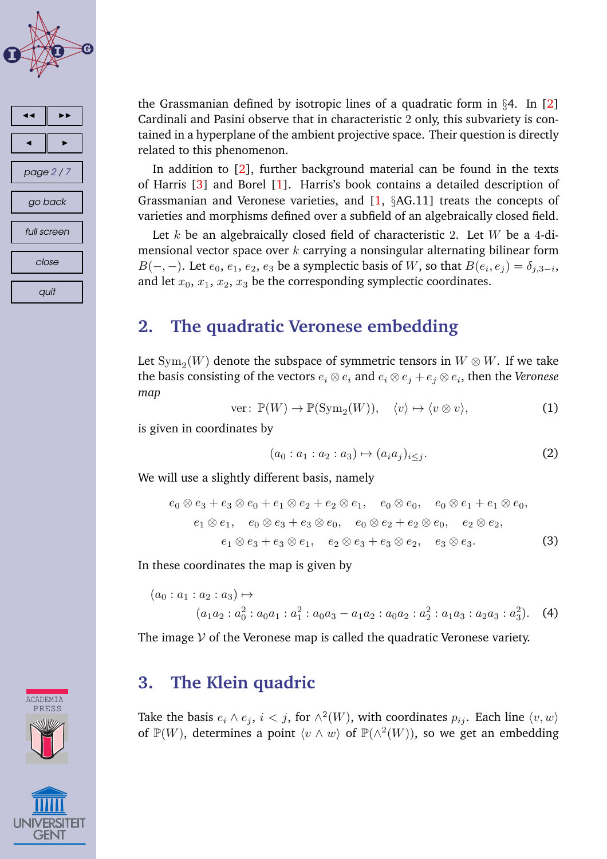<span id="page-1-0"></span>



the Grassmanian defined by isotropic lines of a quadratic form in  $\S 4$ . In [\[2\]](#page-6-0) Cardinali and Pasini observe that in characteristic 2 only, this subvariety is contained in a hyperplane of the ambient projective space. Their question is directly related to this phenomenon.

In addition to [\[2\]](#page-6-0), further background material can be found in the texts of Harris [\[3\]](#page-6-0) and Borel [\[1\]](#page-6-0). Harris's book contains a detailed description of Grassmanian and Veronese varieties, and  $[1, § AG.11]$  $[1, § AG.11]$  treats the concepts of varieties and morphisms defined over a subfield of an algebraically closed field.

Let k be an algebraically closed field of characteristic 2. Let  $W$  be a 4-dimensional vector space over  $k$  carrying a nonsingular alternating bilinear form  $B(-,-)$ . Let  $e_0, e_1, e_2, e_3$  be a symplectic basis of W, so that  $B(e_i, e_j) = \delta_{j,3-i}$ , and let  $x_0$ ,  $x_1$ ,  $x_2$ ,  $x_3$  be the corresponding symplectic coordinates.

## **2. The quadratic Veronese embedding**

Let  $\mathrm{Sym}_2(W)$  denote the subspace of symmetric tensors in  $W\otimes W.$  If we take the basis consisting of the vectors  $e_i\otimes e_i$  and  $e_i\otimes e_j + e_j\otimes e_i$ , then the *Veronese map*

ver: 
$$
\mathbb{P}(W) \to \mathbb{P}(\text{Sym}_2(W)), \quad \langle v \rangle \mapsto \langle v \otimes v \rangle,
$$
 (1)

is given in coordinates by

$$
(a_0: a_1: a_2: a_3) \mapsto (a_i a_j)_{i \le j}.
$$
 (2)

We will use a slightly different basis, namely

$$
e_0 \otimes e_3 + e_3 \otimes e_0 + e_1 \otimes e_2 + e_2 \otimes e_1, \quad e_0 \otimes e_0, \quad e_0 \otimes e_1 + e_1 \otimes e_0,
$$
  
\n
$$
e_1 \otimes e_1, \quad e_0 \otimes e_3 + e_3 \otimes e_0, \quad e_0 \otimes e_2 + e_2 \otimes e_0, \quad e_2 \otimes e_2,
$$
  
\n
$$
e_1 \otimes e_3 + e_3 \otimes e_1, \quad e_2 \otimes e_3 + e_3 \otimes e_2, \quad e_3 \otimes e_3.
$$
  
\n(3)

In these coordinates the map is given by

$$
(a_0: a_1: a_2: a_3) \mapsto
$$
  

$$
(a_1a_2: a_0^2: a_0a_1: a_1^2: a_0a_3 - a_1a_2: a_0a_2: a_2^2: a_1a_3: a_2a_3: a_3^2).
$$
 (4)

The image  $\mathcal V$  of the Veronese map is called the quadratic Veronese variety.

### **3. The Klein quadric**

Take the basis  $e_i \wedge e_j$ ,  $i < j$ , for  $\wedge^2(W)$ , with coordinates  $p_{ij}$ . Each line  $\langle v, w \rangle$ of  $\mathbb{P}(W)$ , determines a point  $\langle v \wedge w \rangle$  of  $\mathbb{P}(\wedge^2(W))$ , so we get an embedding



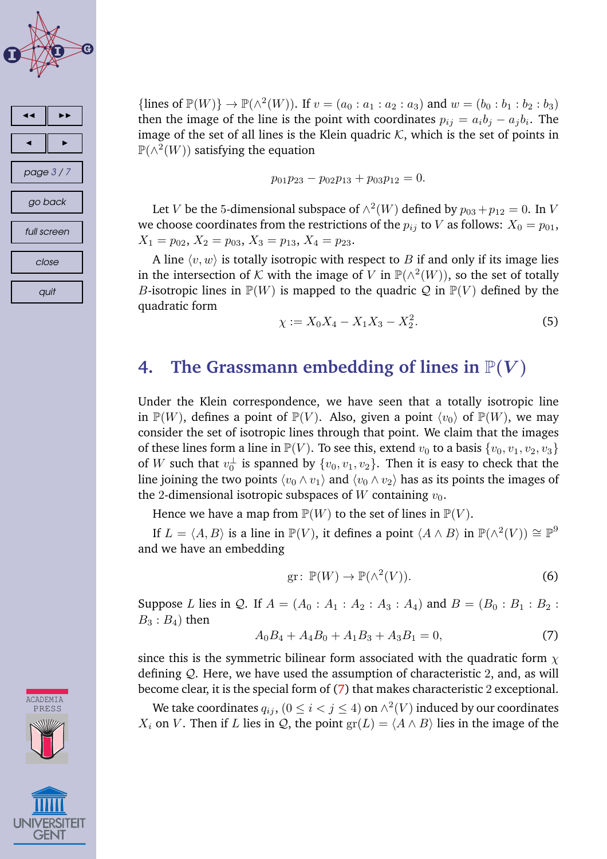<span id="page-2-0"></span>



{lines of  $\mathbb{P}(W)$ }  $\to \mathbb{P}(\wedge^2(W))$ . If  $v = (a_0 : a_1 : a_2 : a_3)$  and  $w = (b_0 : b_1 : b_2 : b_3)$ then the image of the line is the point with coordinates  $p_{ij} = a_i b_j - a_j b_i$ . The image of the set of all lines is the Klein quadric  $K$ , which is the set of points in  $\mathbb{P}(\wedge^2(W))$  satisfying the equation

$$
p_{01}p_{23}-p_{02}p_{13}+p_{03}p_{12}=0.
$$

Let V be the 5-dimensional subspace of  $\wedge^2(W)$  defined by  $p_{03} + p_{12} = 0$ . In V we choose coordinates from the restrictions of the  $p_{ij}$  to V as follows:  $X_0 = p_{01}$ ,  $X_1 = p_{02}$ ,  $X_2 = p_{03}$ ,  $X_3 = p_{13}$ ,  $X_4 = p_{23}$ .

A line  $\langle v, w \rangle$  is totally isotropic with respect to B if and only if its image lies in the intersection of K with the image of V in  $\mathbb{P}(\wedge^2(W))$ , so the set of totally *B*-isotropic lines in  $\mathbb{P}(W)$  is mapped to the quadric Q in  $\mathbb{P}(V)$  defined by the quadratic form

$$
\chi := X_0 X_4 - X_1 X_3 - X_2^2. \tag{5}
$$

### **4.** The Grassmann embedding of lines in  $\mathbb{P}(V)$

Under the Klein correspondence, we have seen that a totally isotropic line in  $\mathbb{P}(W)$ , defines a point of  $\mathbb{P}(V)$ . Also, given a point  $\langle v_0 \rangle$  of  $\mathbb{P}(W)$ , we may consider the set of isotropic lines through that point. We claim that the images of these lines form a line in  $\mathbb{P}(V)$ . To see this, extend  $v_0$  to a basis  $\{v_0, v_1, v_2, v_3\}$ of  $W$  such that  $v_0^{\perp}$  is spanned by  $\{v_0,v_1,v_2\}.$  Then it is easy to check that the line joining the two points  $\langle v_0 \wedge v_1 \rangle$  and  $\langle v_0 \wedge v_2 \rangle$  has as its points the images of the 2-dimensional isotropic subspaces of W containing  $v_0$ .

Hence we have a map from  $\mathbb{P}(W)$  to the set of lines in  $\mathbb{P}(V)$ .

If  $L = \langle A, B \rangle$  is a line in  $\mathbb{P}(V)$ , it defines a point  $\langle A \wedge B \rangle$  in  $\mathbb{P}(\wedge^2(V)) \cong \mathbb{P}^9$ and we have an embedding

$$
\text{gr}: \, \mathbb{P}(W) \to \mathbb{P}(\wedge^2(V)).\tag{6}
$$

Suppose L lies in Q. If  $A = (A_0 : A_1 : A_2 : A_3 : A_4)$  and  $B = (B_0 : B_1 : B_2 : A_4 : A_4)$  $B_3$ :  $B_4$ ) then

$$
A_0B_4 + A_4B_0 + A_1B_3 + A_3B_1 = 0,\t\t(7)
$$

since this is the symmetric bilinear form associated with the quadratic form  $\chi$ defining Q. Here, we have used the assumption of characteristic 2, and, as will become clear, it is the special form of (7) that makes characteristic 2 exceptional.

We take coordinates  $q_{ij}$ ,  $(0 \leq i < j \leq 4)$  on  $\wedge^2(V)$  induced by our coordinates  $X_i$  on V. Then if L lies in Q, the point  $\operatorname{gr}(L) = \langle A \wedge B \rangle$  lies in the image of the

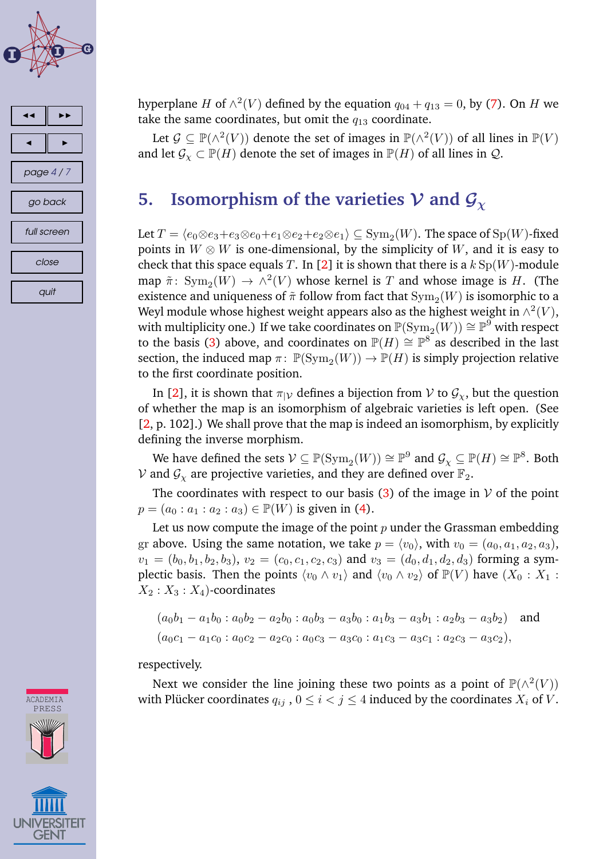<span id="page-3-0"></span>





Let  $\mathcal{G} \subseteq \mathbb{P}(\wedge^2(V))$  denote the set of images in  $\mathbb{P}(\wedge^2(V))$  of all lines in  $\mathbb{P}(V)$ and let  $\mathcal{G}_{\chi} \subset \mathbb{P}(H)$  denote the set of images in  $\mathbb{P}(H)$  of all lines in  $\mathcal{Q}$ .

# **5.** Isomorphism of the varieties  $V$  and  $G_\chi$

Let  $T = \langle e_0 \otimes e_3 + e_3 \otimes e_0 + e_1 \otimes e_2 + e_2 \otimes e_1 \rangle \subseteq \mathrm{Sym}_2(W)$ . The space of  $\mathrm{Sp}(W)$ -fixed points in  $W \otimes W$  is one-dimensional, by the simplicity of W, and it is easy to check that this space equals T. In [\[2\]](#page-6-0) it is shown that there is a  $k \text{Sp}(W)$ -module map  $\tilde{\pi}$ :  $\text{Sym}_2(W) \to \overline{\wedge^2(V)}$  whose kernel is T and whose image is H. (The existence and uniqueness of  $\tilde{\pi}$  follow from fact that  $\mathrm{Sym}_2(W)$  is isomorphic to a Weyl module whose highest weight appears also as the highest weight in  $\wedge^2(V),$ with multiplicity one.) If we take coordinates on  $\mathbb{P}(\mathrm{Sym}_2(W)) \cong \mathbb{P}^9$  with respect to the basis [\(3\)](#page-1-0) above, and coordinates on  $\mathbb{P}(H) \cong \mathbb{P}^{8}$  as described in the last section, the induced map  $\pi: \ \mathbb{P}(\text{Sym}_2(W)) \to \mathbb{P}(H)$  is simply projection relative to the first coordinate position.

In [\[2\]](#page-6-0), it is shown that  $\pi_{|V}$  defines a bijection from V to  $\mathcal{G}_\chi$ , but the question of whether the map is an isomorphism of algebraic varieties is left open. (See [\[2,](#page-6-0) p. 102].) We shall prove that the map is indeed an isomorphism, by explicitly defining the inverse morphism.

We have defined the sets  $\mathcal{V}\subseteq \mathbb{P}(\mathrm{Sym}_2(W))\cong \mathbb{P}^9$  and  $\mathcal{G}_\chi\subseteq \mathbb{P}(H)\cong \mathbb{P}^8.$  Both V and  $G_x$  are projective varieties, and they are defined over  $\mathbb{F}_2$ .

The coordinates with respect to our basis [\(3\)](#page-1-0) of the image in  $V$  of the point  $p = (a_0 : a_1 : a_2 : a_3) \in \mathbb{P}(W)$  is given in [\(4\)](#page-1-0).

Let us now compute the image of the point  $p$  under the Grassman embedding gr above. Using the same notation, we take  $p = \langle v_0 \rangle$ , with  $v_0 = (a_0, a_1, a_2, a_3)$ ,  $v_1 = (b_0, b_1, b_2, b_3), v_2 = (c_0, c_1, c_2, c_3)$  and  $v_3 = (d_0, d_1, d_2, d_3)$  forming a symplectic basis. Then the points  $\langle v_0 \wedge v_1 \rangle$  and  $\langle v_0 \wedge v_2 \rangle$  of  $\mathbb{P}(V)$  have  $(X_0 : X_1 :$  $X_2 : X_3 : X_4$ -coordinates

$$
(a_0b_1 - a_1b_0 : a_0b_2 - a_2b_0 : a_0b_3 - a_3b_0 : a_1b_3 - a_3b_1 : a_2b_3 - a_3b_2)
$$
 and  

$$
(a_0c_1 - a_1c_0 : a_0c_2 - a_2c_0 : a_0c_3 - a_3c_0 : a_1c_3 - a_3c_1 : a_2c_3 - a_3c_2),
$$

respectively.

Next we consider the line joining these two points as a point of  $\mathbb{P}(\wedge^2(V))$ with Plücker coordinates  $q_{ij}$ ,  $0 \le i < j \le 4$  induced by the coordinates  $X_i$  of V.

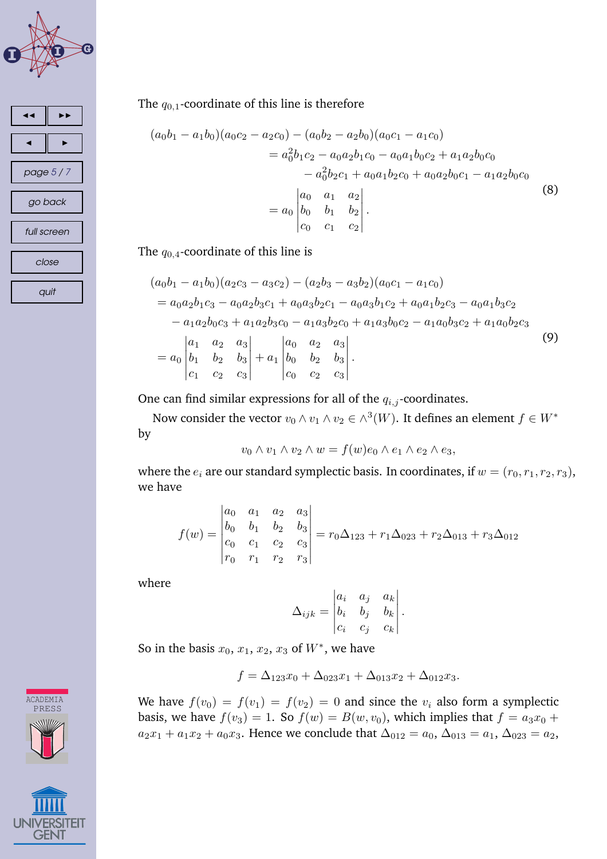



The  $q_{0,1}$ -coordinate of this line is therefore

$$
(a_0b_1 - a_1b_0)(a_0c_2 - a_2c_0) - (a_0b_2 - a_2b_0)(a_0c_1 - a_1c_0)
$$
  
=  $a_0^2b_1c_2 - a_0a_2b_1c_0 - a_0a_1b_0c_2 + a_1a_2b_0c_0$   
 $- a_0^2b_2c_1 + a_0a_1b_2c_0 + a_0a_2b_0c_1 - a_1a_2b_0c_0$   
=  $a_0 \begin{vmatrix} a_0 & a_1 & a_2 \\ b_0 & b_1 & b_2 \\ c_0 & c_1 & c_2 \end{vmatrix}$ . (8)

The  $q_{0,4}$ -coordinate of this line is

$$
(a_0b_1 - a_1b_0)(a_2c_3 - a_3c_2) - (a_2b_3 - a_3b_2)(a_0c_1 - a_1c_0)
$$
  
=  $a_0a_2b_1c_3 - a_0a_2b_3c_1 + a_0a_3b_2c_1 - a_0a_3b_1c_2 + a_0a_1b_2c_3 - a_0a_1b_3c_2$   
 $- a_1a_2b_0c_3 + a_1a_2b_3c_0 - a_1a_3b_2c_0 + a_1a_3b_0c_2 - a_1a_0b_3c_2 + a_1a_0b_2c_3$   
=  $a_0 \begin{vmatrix} a_1 & a_2 & a_3 \\ b_1 & b_2 & b_3 \\ c_1 & c_2 & c_3 \end{vmatrix} + a_1 \begin{vmatrix} a_0 & a_2 & a_3 \\ b_0 & b_2 & b_3 \\ c_0 & c_2 & c_3 \end{vmatrix}$ . (9)

One can find similar expressions for all of the  $q_{i,j}$ -coordinates.

Now consider the vector  $v_0 \wedge v_1 \wedge v_2 \in \wedge^3(W)$ . It defines an element  $f \in W^*$ by

$$
v_0 \wedge v_1 \wedge v_2 \wedge w = f(w)e_0 \wedge e_1 \wedge e_2 \wedge e_3,
$$

where the  $e_i$  are our standard symplectic basis. In coordinates, if  $w = (r_0, r_1, r_2, r_3)$ , we have

$$
f(w) = \begin{vmatrix} a_0 & a_1 & a_2 & a_3 \ b_0 & b_1 & b_2 & b_3 \ c_0 & c_1 & c_2 & c_3 \ r_0 & r_1 & r_2 & r_3 \ \end{vmatrix} = r_0 \Delta_{123} + r_1 \Delta_{023} + r_2 \Delta_{013} + r_3 \Delta_{012}
$$

where

$$
\Delta_{ijk} = \begin{vmatrix} a_i & a_j & a_k \\ b_i & b_j & b_k \\ c_i & c_j & c_k \end{vmatrix}.
$$

So in the basis  $x_0, x_1, x_2, x_3$  of  $W^*$ , we have

$$
f = \Delta_{123} x_0 + \Delta_{023} x_1 + \Delta_{013} x_2 + \Delta_{012} x_3.
$$

We have  $f(v_0) = f(v_1) = f(v_2) = 0$  and since the  $v_i$  also form a symplectic basis, we have  $f(v_3) = 1$ . So  $f(w) = B(w, v_0)$ , which implies that  $f = a_3x_0 + b_3$  $a_2x_1 + a_1x_2 + a_0x_3$ . Hence we conclude that  $\Delta_{012} = a_0$ ,  $\Delta_{013} = a_1$ ,  $\Delta_{023} = a_2$ ,

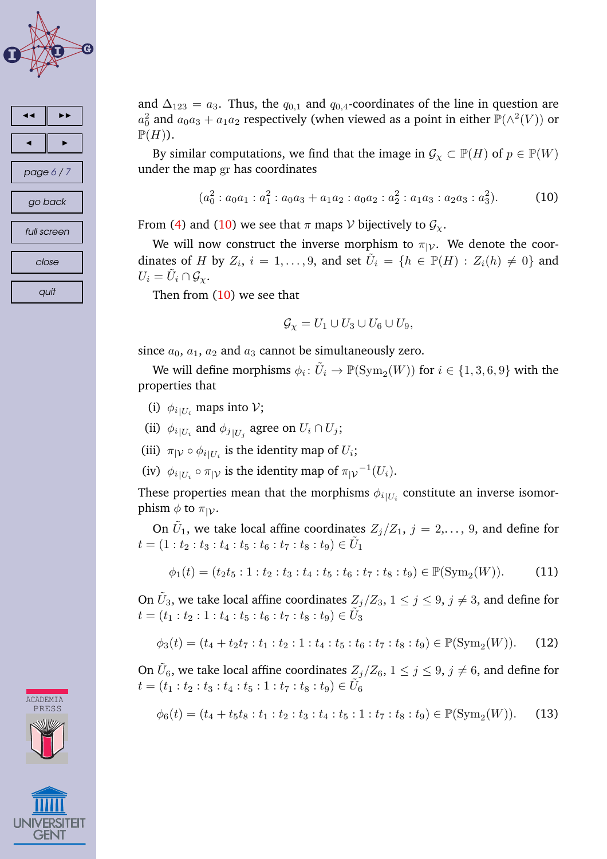<span id="page-5-0"></span>



and  $\Delta_{123} = a_3$ . Thus, the  $q_{0,1}$  and  $q_{0,4}$ -coordinates of the line in question are  $a_0^2$  and  $a_0a_3 + a_1a_2$  respectively (when viewed as a point in either  $\mathbb{P}(\wedge^2(V))$  or  $\mathbb{P}(H)$ ).

By similar computations, we find that the image in  $\mathcal{G}_{\chi} \subset \mathbb{P}(H)$  of  $p \in \mathbb{P}(W)$ under the map gr has coordinates

$$
(a_0^2 : a_0 a_1 : a_1^2 : a_0 a_3 + a_1 a_2 : a_0 a_2 : a_2^2 : a_1 a_3 : a_2 a_3 : a_3^2).
$$
 (10)

From [\(4\)](#page-1-0) and (10) we see that  $\pi$  maps  $\mathcal V$  bijectively to  $\mathcal G_\chi$ .

We will now construct the inverse morphism to  $\pi_{|V}$ . We denote the coordinates of H by  $Z_i$ ,  $i = 1, \ldots, 9$ , and set  $\tilde{U}_i = \{h \in \mathbb{P}(H) : Z_i(h) \neq 0\}$  and  $U_i = \tilde{U}_i \cap \mathcal{G}_{\chi}.$ 

Then from  $(10)$  we see that

$$
\mathcal{G}_{\chi} = U_1 \cup U_3 \cup U_6 \cup U_9,
$$

since  $a_0$ ,  $a_1$ ,  $a_2$  and  $a_3$  cannot be simultaneously zero.

We will define morphisms  $\phi_i\colon \tilde{U}_i\to \mathbb{P}(\mathrm{Sym}_2(W))$  for  $i\in\{1,3,6,9\}$  with the properties that

- (i)  $\phi_{i|U_i}$  maps into  $V$ ;
- (ii)  $\phi_{i|U_i}$  and  $\phi_{j|U_j}$  agree on  $U_i \cap U_j$ ;
- (iii)  $\pi_{|V} \circ \phi_{i|U_i}$  is the identity map of  $U_i$ ;
- (iv)  $\phi_{i|U_i} \circ \pi_{|V}$  is the identity map of  $\pi_{|V}^{-1}(U_i)$ .

These properties mean that the morphisms  $\phi_i{}_{|U_i}$  constitute an inverse isomorphism  $\phi$  to  $\pi_{|\mathcal{V}}$ .

On  $\tilde{U}_1$ , we take local affine coordinates  $Z_j/Z_1,$   $j=2,\ldots,$  9, and define for  $t = (1:t_2:t_3:t_4:t_5:t_6:t_7:t_8:t_9) \in \tilde{U}_1$ 

$$
\phi_1(t) = (t_2 t_5 : 1 : t_2 : t_3 : t_4 : t_5 : t_6 : t_7 : t_8 : t_9) \in \mathbb{P}(\text{Sym}_2(W)).
$$
 (11)

On  $\tilde{U}_3$ , we take local affine coordinates  $Z_j/Z_3,$   $1\leq j\leq 9,$   $j\neq 3,$  and define for  $t = (t_1 : t_2 : 1 : t_4 : t_5 : t_6 : t_7 : t_8 : t_9) \in \tilde{U}_3$ 

$$
\phi_3(t) = (t_4 + t_2 t_7 : t_1 : t_2 : 1 : t_4 : t_5 : t_6 : t_7 : t_8 : t_9) \in \mathbb{P}(\text{Sym}_2(W)).
$$
 (12)

On  $\tilde{U}_6$ , we take local affine coordinates  $Z_j/Z_6,$   $1\leq j\leq 9,$   $j\neq 6,$  and define for  $t = (t_1:t_2:t_3:t_4:t_5:1:t_7:t_8:t_9) \in \tilde{U}_6$ 

$$
\phi_6(t) = (t_4 + t_5 t_8 : t_1 : t_2 : t_3 : t_4 : t_5 : 1 : t_7 : t_8 : t_9) \in \mathbb{P}(\text{Sym}_2(W)).
$$
 (13)